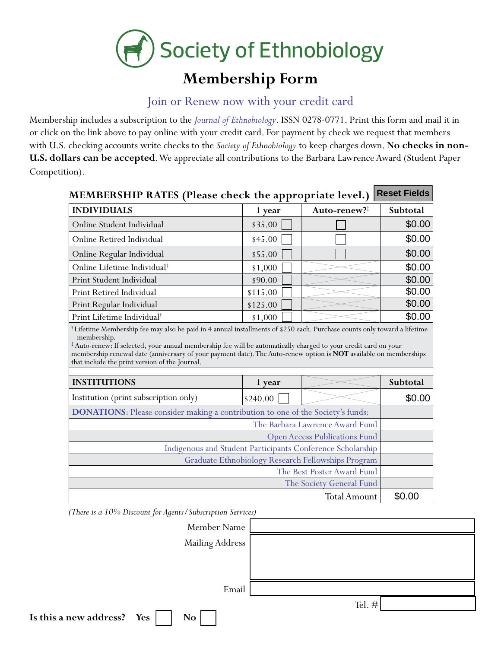

## **Membership Form**

[Join or Renew now with your credit card](http://ethnobiology.org/membership/join) 

Membership includes a subscription to the *[Journal of Ethnobiology](http://ethnobiology.org/journal/)*. ISSN 0278-0771. Print this form and mail it in or click on the link above to pay online with your credit card. For payment by check we request that members with U.S. checking accounts write checks to the *Society of Ethnobiology* to keep charges down. **No checks in non-U.S. dollars can be accepted**. We appreciate all contributions to the Barbara Lawrence Award (Student Paper Competition).

| <b>Reset Fields</b><br><b>MEMBERSHIP RATES (Please check the appropriate level.)</b>   |          |                                                 |          |  |  |  |
|----------------------------------------------------------------------------------------|----------|-------------------------------------------------|----------|--|--|--|
| <b>INDIVIDUALS</b>                                                                     | 1 year   | Auto-renew? <sup>†</sup>                        | Subtotal |  |  |  |
| Online Student Individual                                                              | \$35.00  |                                                 | \$0.00   |  |  |  |
| Online Retired Individual                                                              | \$45.00  |                                                 | \$0.00   |  |  |  |
| Online Regular Individual                                                              | \$55.00  |                                                 | \$0.00   |  |  |  |
| Online Lifetime Individual <sup>†</sup>                                                | \$1,000  |                                                 | \$0.00   |  |  |  |
| Print Student Individual                                                               | \$90.00  |                                                 | \$0.00   |  |  |  |
| Print Retired Individual                                                               | \$115.00 |                                                 | \$0.00   |  |  |  |
| Print Regular Individual                                                               | \$125.00 |                                                 | \$0.00   |  |  |  |
| Print Lifetime Individual <sup>†</sup>                                                 | \$1,000  |                                                 | \$0.00   |  |  |  |
| that include the print version of the Journal.<br><b>INSTITUTIONS</b>                  | 1 year   |                                                 | Subtotal |  |  |  |
| Institution (print subscription only)                                                  | \$240.00 |                                                 | \$0.00   |  |  |  |
| <b>DONATIONS:</b> Please consider making a contribution to one of the Society's funds: |          |                                                 |          |  |  |  |
| The Barbara Lawrence Award Fund                                                        |          |                                                 |          |  |  |  |
| <b>Open Access Publications Fund</b>                                                   |          |                                                 |          |  |  |  |
| Indigenous and Student Participants Conference Scholarship                             |          |                                                 |          |  |  |  |
| Graduate Ethnobiology Research Fellowships Program                                     |          |                                                 |          |  |  |  |
| The Best Poster Award Fund                                                             |          |                                                 |          |  |  |  |
|                                                                                        |          |                                                 |          |  |  |  |
|                                                                                        |          | The Society General Fund<br><b>Total Amount</b> | \$0.00   |  |  |  |

*(There is a 10% Discount for Agents/Subscription Services)*

|                            |  |     | Member Name     |          |
|----------------------------|--|-----|-----------------|----------|
|                            |  |     | Mailing Address |          |
|                            |  |     |                 |          |
|                            |  |     |                 |          |
|                            |  |     | Email           |          |
|                            |  |     |                 | Tel. $#$ |
| Is this a new address? Yes |  | No. |                 |          |